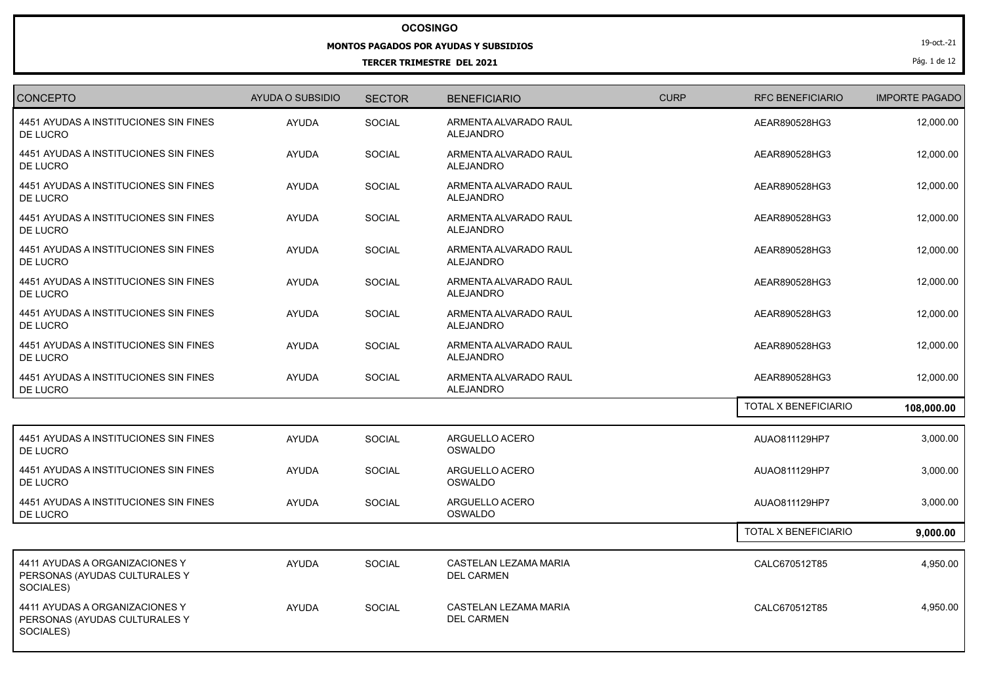## **OCOSINGO**

## **MONTOS PAGADOS POR AYUDAS Y SUBSIDIOS**

## **TERCER TRIMESTRE DEL 2021**

19-oct.-21

Pág. 1 de 12

| <b>CONCEPTO</b>                                                              | <b>AYUDA O SUBSIDIO</b> | <b>SECTOR</b> | <b>BENEFICIARIO</b>                               | <b>CURP</b> | <b>RFC BENEFICIARIO</b> | <b>IMPORTE PAGADO</b> |
|------------------------------------------------------------------------------|-------------------------|---------------|---------------------------------------------------|-------------|-------------------------|-----------------------|
| 4451 AYUDAS A INSTITUCIONES SIN FINES<br>DE LUCRO                            | <b>AYUDA</b>            | SOCIAL        | ARMENTA ALVARADO RAUL<br><b>ALEJANDRO</b>         |             | AEAR890528HG3           | 12,000.00             |
| 4451 AYUDAS A INSTITUCIONES SIN FINES<br>DE LUCRO                            | <b>AYUDA</b>            | <b>SOCIAL</b> | ARMENTA ALVARADO RAUL<br><b>ALEJANDRO</b>         |             | AEAR890528HG3           | 12,000.00             |
| 4451 AYUDAS A INSTITUCIONES SIN FINES<br>DE LUCRO                            | <b>AYUDA</b>            | SOCIAL        | ARMENTA ALVARADO RAUL<br>ALEJANDRO                |             | AEAR890528HG3           | 12,000.00             |
| 4451 AYUDAS A INSTITUCIONES SIN FINES<br>DE LUCRO                            | <b>AYUDA</b>            | SOCIAL        | ARMENTA ALVARADO RAUL<br><b>ALEJANDRO</b>         |             | AEAR890528HG3           | 12,000.00             |
| 4451 AYUDAS A INSTITUCIONES SIN FINES<br>DE LUCRO                            | <b>AYUDA</b>            | SOCIAL        | ARMENTA ALVARADO RAUL<br><b>ALEJANDRO</b>         |             | AEAR890528HG3           | 12,000.00             |
| 4451 AYUDAS A INSTITUCIONES SIN FINES<br>DE LUCRO                            | <b>AYUDA</b>            | SOCIAL        | ARMENTA ALVARADO RAUL<br>ALEJANDRO                |             | AEAR890528HG3           | 12,000.00             |
| 4451 AYUDAS A INSTITUCIONES SIN FINES<br>DE LUCRO                            | <b>AYUDA</b>            | <b>SOCIAL</b> | ARMENTA ALVARADO RAUL<br>ALEJANDRO                |             | AEAR890528HG3           | 12,000.00             |
| 4451 AYUDAS A INSTITUCIONES SIN FINES<br>DE LUCRO                            | <b>AYUDA</b>            | <b>SOCIAL</b> | ARMENTA ALVARADO RAUL<br><b>ALEJANDRO</b>         |             | AEAR890528HG3           | 12,000.00             |
| 4451 AYUDAS A INSTITUCIONES SIN FINES<br>DE LUCRO                            | <b>AYUDA</b>            | SOCIAL        | ARMENTA ALVARADO RAUL<br><b>ALEJANDRO</b>         |             | AEAR890528HG3           | 12,000.00             |
|                                                                              |                         |               |                                                   |             | TOTAL X BENEFICIARIO    | 108,000.00            |
| 4451 AYUDAS A INSTITUCIONES SIN FINES<br>DE LUCRO                            | <b>AYUDA</b>            | SOCIAL        | ARGUELLO ACERO<br>OSWALDO                         |             | AUAO811129HP7           | 3,000.00              |
| 4451 AYUDAS A INSTITUCIONES SIN FINES<br>DE LUCRO                            | <b>AYUDA</b>            | SOCIAL        | ARGUELLO ACERO<br><b>OSWALDO</b>                  |             | AUAO811129HP7           | 3,000.00              |
| 4451 AYUDAS A INSTITUCIONES SIN FINES<br>DE LUCRO                            | <b>AYUDA</b>            | SOCIAL        | ARGUELLO ACERO<br><b>OSWALDO</b>                  |             | AUAO811129HP7           | 3,000.00              |
|                                                                              |                         |               |                                                   |             | TOTAL X BENEFICIARIO    | 9,000.00              |
| 4411 AYUDAS A ORGANIZACIONES Y<br>PERSONAS (AYUDAS CULTURALES Y<br>SOCIALES) | <b>AYUDA</b>            | <b>SOCIAL</b> | <b>CASTELAN LEZAMA MARIA</b><br><b>DEL CARMEN</b> |             | CALC670512T85           | 4,950.00              |
| 4411 AYUDAS A ORGANIZACIONES Y<br>PERSONAS (AYUDAS CULTURALES Y<br>SOCIALES) | <b>AYUDA</b>            | <b>SOCIAL</b> | CASTELAN LEZAMA MARIA<br><b>DEL CARMEN</b>        |             | CALC670512T85           | 4,950.00              |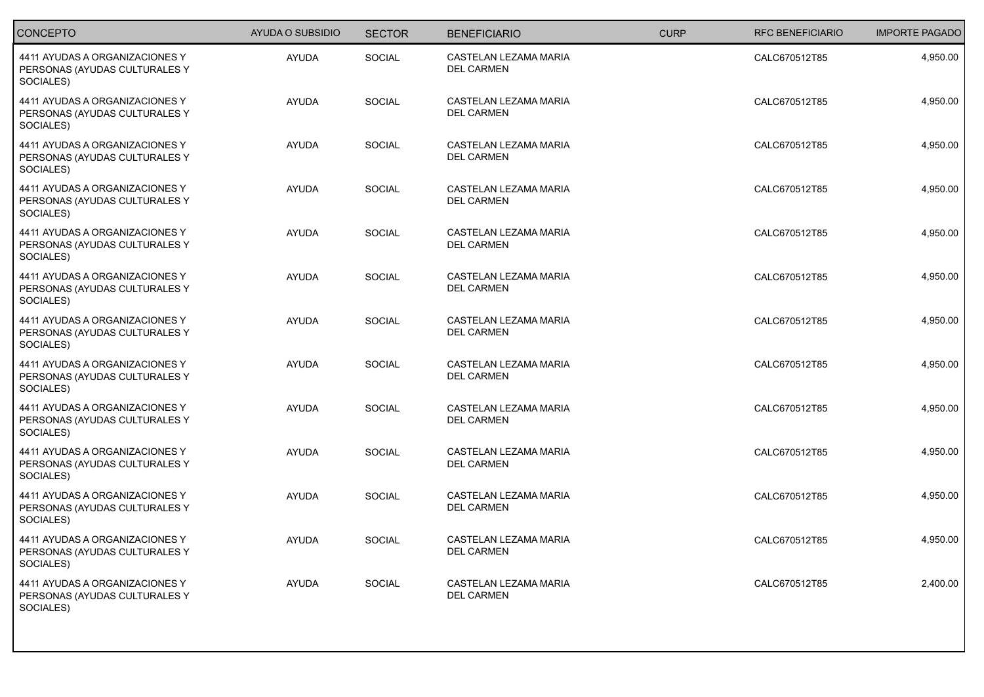| <b>CONCEPTO</b>                                                              | <b>AYUDA O SUBSIDIO</b> | <b>SECTOR</b> | <b>BENEFICIARIO</b>                        | <b>CURP</b> | <b>RFC BENEFICIARIO</b> | <b>IMPORTE PAGADO</b> |
|------------------------------------------------------------------------------|-------------------------|---------------|--------------------------------------------|-------------|-------------------------|-----------------------|
| 4411 AYUDAS A ORGANIZACIONES Y<br>PERSONAS (AYUDAS CULTURALES Y<br>SOCIALES) | <b>AYUDA</b>            | SOCIAL        | CASTELAN LEZAMA MARIA<br><b>DEL CARMEN</b> |             | CALC670512T85           | 4,950.00              |
| 4411 AYUDAS A ORGANIZACIONES Y<br>PERSONAS (AYUDAS CULTURALES Y<br>SOCIALES) | <b>AYUDA</b>            | <b>SOCIAL</b> | CASTELAN LEZAMA MARIA<br>DEL CARMEN        |             | CALC670512T85           | 4,950.00              |
| 4411 AYUDAS A ORGANIZACIONES Y<br>PERSONAS (AYUDAS CULTURALES Y<br>SOCIALES) | <b>AYUDA</b>            | <b>SOCIAL</b> | CASTELAN LEZAMA MARIA<br><b>DEL CARMEN</b> |             | CALC670512T85           | 4,950.00              |
| 4411 AYUDAS A ORGANIZACIONES Y<br>PERSONAS (AYUDAS CULTURALES Y<br>SOCIALES) | <b>AYUDA</b>            | SOCIAL        | CASTELAN LEZAMA MARIA<br><b>DEL CARMEN</b> |             | CALC670512T85           | 4,950.00              |
| 4411 AYUDAS A ORGANIZACIONES Y<br>PERSONAS (AYUDAS CULTURALES Y<br>SOCIALES) | <b>AYUDA</b>            | <b>SOCIAL</b> | CASTELAN LEZAMA MARIA<br><b>DEL CARMEN</b> |             | CALC670512T85           | 4,950.00              |
| 4411 AYUDAS A ORGANIZACIONES Y<br>PERSONAS (AYUDAS CULTURALES Y<br>SOCIALES) | <b>AYUDA</b>            | SOCIAL        | CASTELAN LEZAMA MARIA<br><b>DEL CARMEN</b> |             | CALC670512T85           | 4,950.00              |
| 4411 AYUDAS A ORGANIZACIONES Y<br>PERSONAS (AYUDAS CULTURALES Y<br>SOCIALES) | <b>AYUDA</b>            | <b>SOCIAL</b> | CASTELAN LEZAMA MARIA<br><b>DEL CARMEN</b> |             | CALC670512T85           | 4,950.00              |
| 4411 AYUDAS A ORGANIZACIONES Y<br>PERSONAS (AYUDAS CULTURALES Y<br>SOCIALES) | <b>AYUDA</b>            | <b>SOCIAL</b> | CASTELAN LEZAMA MARIA<br><b>DEL CARMEN</b> |             | CALC670512T85           | 4,950.00              |
| 4411 AYUDAS A ORGANIZACIONES Y<br>PERSONAS (AYUDAS CULTURALES Y<br>SOCIALES) | <b>AYUDA</b>            | SOCIAL        | CASTELAN LEZAMA MARIA<br><b>DEL CARMEN</b> |             | CALC670512T85           | 4,950.00              |
| 4411 AYUDAS A ORGANIZACIONES Y<br>PERSONAS (AYUDAS CULTURALES Y<br>SOCIALES) | <b>AYUDA</b>            | SOCIAL        | CASTELAN LEZAMA MARIA<br><b>DEL CARMEN</b> |             | CALC670512T85           | 4,950.00              |
| 4411 AYUDAS A ORGANIZACIONES Y<br>PERSONAS (AYUDAS CULTURALES Y<br>SOCIALES) | <b>AYUDA</b>            | <b>SOCIAL</b> | CASTELAN LEZAMA MARIA<br><b>DEL CARMEN</b> |             | CALC670512T85           | 4,950.00              |
| 4411 AYUDAS A ORGANIZACIONES Y<br>PERSONAS (AYUDAS CULTURALES Y<br>SOCIALES) | <b>AYUDA</b>            | <b>SOCIAL</b> | CASTELAN LEZAMA MARIA<br><b>DEL CARMEN</b> |             | CALC670512T85           | 4,950.00              |
| 4411 AYUDAS A ORGANIZACIONES Y<br>PERSONAS (AYUDAS CULTURALES Y<br>SOCIALES) | <b>AYUDA</b>            | <b>SOCIAL</b> | CASTELAN LEZAMA MARIA<br><b>DEL CARMEN</b> |             | CALC670512T85           | 2,400.00              |
|                                                                              |                         |               |                                            |             |                         |                       |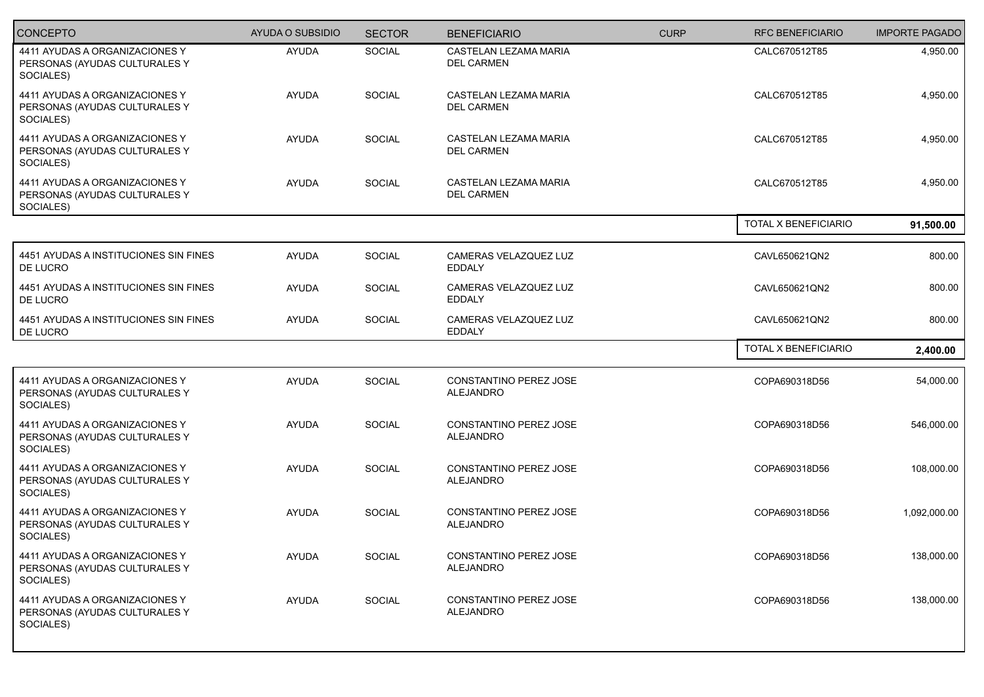| <b>CONCEPTO</b>                                                              | <b>AYUDA O SUBSIDIO</b> | <b>SECTOR</b> | <b>BENEFICIARIO</b>                        | <b>CURP</b> | <b>RFC BENEFICIARIO</b> | <b>IMPORTE PAGADO</b> |
|------------------------------------------------------------------------------|-------------------------|---------------|--------------------------------------------|-------------|-------------------------|-----------------------|
| 4411 AYUDAS A ORGANIZACIONES Y<br>PERSONAS (AYUDAS CULTURALES Y<br>SOCIALES) | <b>AYUDA</b>            | <b>SOCIAL</b> | CASTELAN LEZAMA MARIA<br><b>DEL CARMEN</b> |             | CALC670512T85           | 4,950.00              |
| 4411 AYUDAS A ORGANIZACIONES Y<br>PERSONAS (AYUDAS CULTURALES Y<br>SOCIALES) | <b>AYUDA</b>            | SOCIAL        | CASTELAN LEZAMA MARIA<br><b>DEL CARMEN</b> |             | CALC670512T85           | 4,950.00              |
| 4411 AYUDAS A ORGANIZACIONES Y<br>PERSONAS (AYUDAS CULTURALES Y<br>SOCIALES) | <b>AYUDA</b>            | SOCIAL        | CASTELAN LEZAMA MARIA<br><b>DEL CARMEN</b> |             | CALC670512T85           | 4,950.00              |
| 4411 AYUDAS A ORGANIZACIONES Y<br>PERSONAS (AYUDAS CULTURALES Y<br>SOCIALES) | <b>AYUDA</b>            | SOCIAL        | CASTELAN LEZAMA MARIA<br><b>DEL CARMEN</b> |             | CALC670512T85           | 4,950.00              |
|                                                                              |                         |               |                                            |             | TOTAL X BENEFICIARIO    | 91,500.00             |
| 4451 AYUDAS A INSTITUCIONES SIN FINES<br>DE LUCRO                            | <b>AYUDA</b>            | SOCIAL        | CAMERAS VELAZQUEZ LUZ<br><b>EDDALY</b>     |             | CAVL650621QN2           | 800.00                |
| 4451 AYUDAS A INSTITUCIONES SIN FINES<br>DE LUCRO                            | <b>AYUDA</b>            | <b>SOCIAL</b> | CAMERAS VELAZQUEZ LUZ<br><b>EDDALY</b>     |             | CAVL650621QN2           | 800.00                |
| 4451 AYUDAS A INSTITUCIONES SIN FINES<br>DE LUCRO                            | <b>AYUDA</b>            | SOCIAL        | CAMERAS VELAZQUEZ LUZ<br><b>EDDALY</b>     |             | CAVL650621QN2           | 800.00                |
|                                                                              |                         |               |                                            |             | TOTAL X BENEFICIARIO    | 2,400.00              |
| 4411 AYUDAS A ORGANIZACIONES Y<br>PERSONAS (AYUDAS CULTURALES Y<br>SOCIALES) | <b>AYUDA</b>            | SOCIAL        | CONSTANTINO PEREZ JOSE<br><b>ALEJANDRO</b> |             | COPA690318D56           | 54,000.00             |
| 4411 AYUDAS A ORGANIZACIONES Y<br>PERSONAS (AYUDAS CULTURALES Y<br>SOCIALES) | <b>AYUDA</b>            | SOCIAL        | CONSTANTINO PEREZ JOSE<br>ALEJANDRO        |             | COPA690318D56           | 546,000.00            |
| 4411 AYUDAS A ORGANIZACIONES Y<br>PERSONAS (AYUDAS CULTURALES Y<br>SOCIALES) | <b>AYUDA</b>            | SOCIAL        | CONSTANTINO PEREZ JOSE<br>ALEJANDRO        |             | COPA690318D56           | 108,000.00            |
| 4411 AYUDAS A ORGANIZACIONES Y<br>PERSONAS (AYUDAS CULTURALES Y<br>SOCIALES) | <b>AYUDA</b>            | SOCIAL        | CONSTANTINO PEREZ JOSE<br><b>ALEJANDRO</b> |             | COPA690318D56           | 1,092,000.00          |
| 4411 AYUDAS A ORGANIZACIONES Y<br>PERSONAS (AYUDAS CULTURALES Y<br>SOCIALES) | AYUDA                   | SOCIAL        | CONSTANTINO PEREZ JOSE<br><b>ALEJANDRO</b> |             | COPA690318D56           | 138,000.00            |
| 4411 AYUDAS A ORGANIZACIONES Y<br>PERSONAS (AYUDAS CULTURALES Y<br>SOCIALES) | AYUDA                   | SOCIAL        | CONSTANTINO PEREZ JOSE<br><b>ALEJANDRO</b> |             | COPA690318D56           | 138,000.00            |
|                                                                              |                         |               |                                            |             |                         |                       |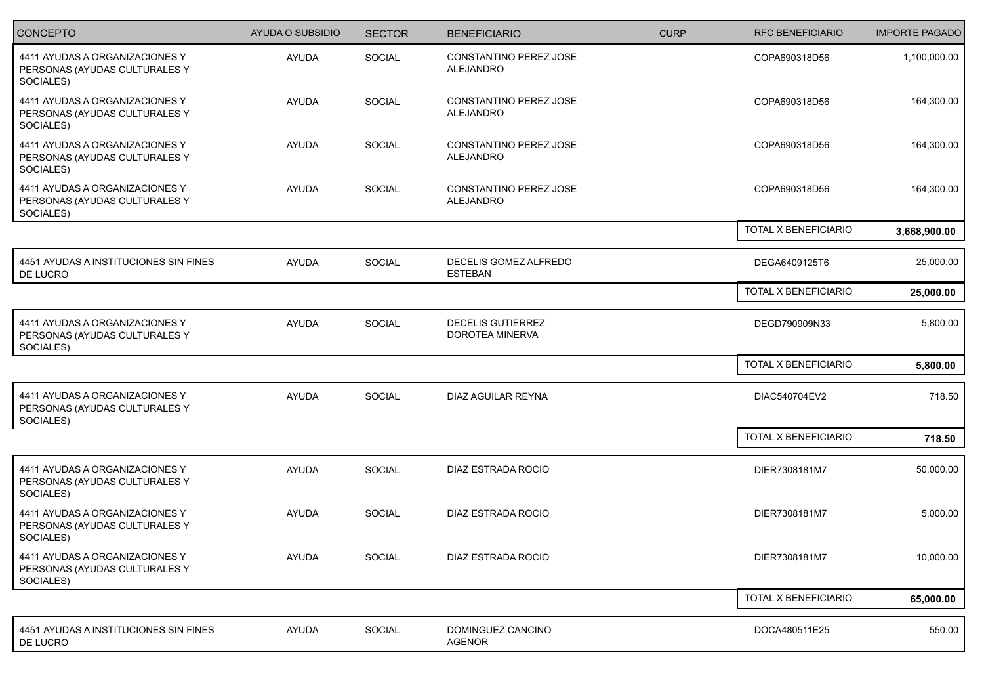| CONCEPTO                                                                     | AYUDA O SUBSIDIO | <b>SECTOR</b> | <b>BENEFICIARIO</b>                         | <b>CURP</b> | <b>RFC BENEFICIARIO</b> | <b>IMPORTE PAGADO</b> |
|------------------------------------------------------------------------------|------------------|---------------|---------------------------------------------|-------------|-------------------------|-----------------------|
| 4411 AYUDAS A ORGANIZACIONES Y<br>PERSONAS (AYUDAS CULTURALES Y<br>SOCIALES) | <b>AYUDA</b>     | SOCIAL        | CONSTANTINO PEREZ JOSE<br>ALEJANDRO         |             | COPA690318D56           | 1,100,000.00          |
| 4411 AYUDAS A ORGANIZACIONES Y<br>PERSONAS (AYUDAS CULTURALES Y<br>SOCIALES) | AYUDA            | SOCIAL        | CONSTANTINO PEREZ JOSE<br>ALEJANDRO         |             | COPA690318D56           | 164,300.00            |
| 4411 AYUDAS A ORGANIZACIONES Y<br>PERSONAS (AYUDAS CULTURALES Y<br>SOCIALES) | <b>AYUDA</b>     | <b>SOCIAL</b> | CONSTANTINO PEREZ JOSE<br><b>ALEJANDRO</b>  |             | COPA690318D56           | 164,300.00            |
| 4411 AYUDAS A ORGANIZACIONES Y<br>PERSONAS (AYUDAS CULTURALES Y<br>SOCIALES) | <b>AYUDA</b>     | SOCIAL        | CONSTANTINO PEREZ JOSE<br><b>ALEJANDRO</b>  |             | COPA690318D56           | 164,300.00            |
|                                                                              |                  |               |                                             |             | TOTAL X BENEFICIARIO    | 3,668,900.00          |
| 4451 AYUDAS A INSTITUCIONES SIN FINES<br>DE LUCRO                            | AYUDA            | SOCIAL        | DECELIS GOMEZ ALFREDO<br><b>ESTEBAN</b>     |             | DEGA6409125T6           | 25,000.00             |
|                                                                              |                  |               |                                             |             | TOTAL X BENEFICIARIO    | 25,000.00             |
| 4411 AYUDAS A ORGANIZACIONES Y<br>PERSONAS (AYUDAS CULTURALES Y<br>SOCIALES) | <b>AYUDA</b>     | SOCIAL        | <b>DECELIS GUTIERREZ</b><br>DOROTEA MINERVA |             | DEGD790909N33           | 5,800.00              |
|                                                                              |                  |               |                                             |             | TOTAL X BENEFICIARIO    | 5,800.00              |
| 4411 AYUDAS A ORGANIZACIONES Y<br>PERSONAS (AYUDAS CULTURALES Y<br>SOCIALES) | <b>AYUDA</b>     | SOCIAL        | DIAZ AGUILAR REYNA                          |             | DIAC540704EV2           | 718.50                |
|                                                                              |                  |               |                                             |             | TOTAL X BENEFICIARIO    | 718.50                |
| 4411 AYUDAS A ORGANIZACIONES Y<br>PERSONAS (AYUDAS CULTURALES Y<br>SOCIALES) | <b>AYUDA</b>     | SOCIAL        | DIAZ ESTRADA ROCIO                          |             | DIER7308181M7           | 50,000.00             |
| 4411 AYUDAS A ORGANIZACIONES Y<br>PERSONAS (AYUDAS CULTURALES Y<br>SOCIALES) | <b>AYUDA</b>     | <b>SOCIAL</b> | DIAZ ESTRADA ROCIO                          |             | DIER7308181M7           | 5,000.00              |
| 4411 AYUDAS A ORGANIZACIONES Y<br>PERSONAS (AYUDAS CULTURALES Y<br>SOCIALES) | <b>AYUDA</b>     | SOCIAL        | DIAZ ESTRADA ROCIO                          |             | DIER7308181M7           | 10,000.00             |
|                                                                              |                  |               |                                             |             | TOTAL X BENEFICIARIO    | 65,000.00             |
| 4451 AYUDAS A INSTITUCIONES SIN FINES<br>DE LUCRO                            | AYUDA            | SOCIAL        | DOMINGUEZ CANCINO<br>AGENOR                 |             | DOCA480511E25           | 550.00                |
|                                                                              |                  |               |                                             |             |                         |                       |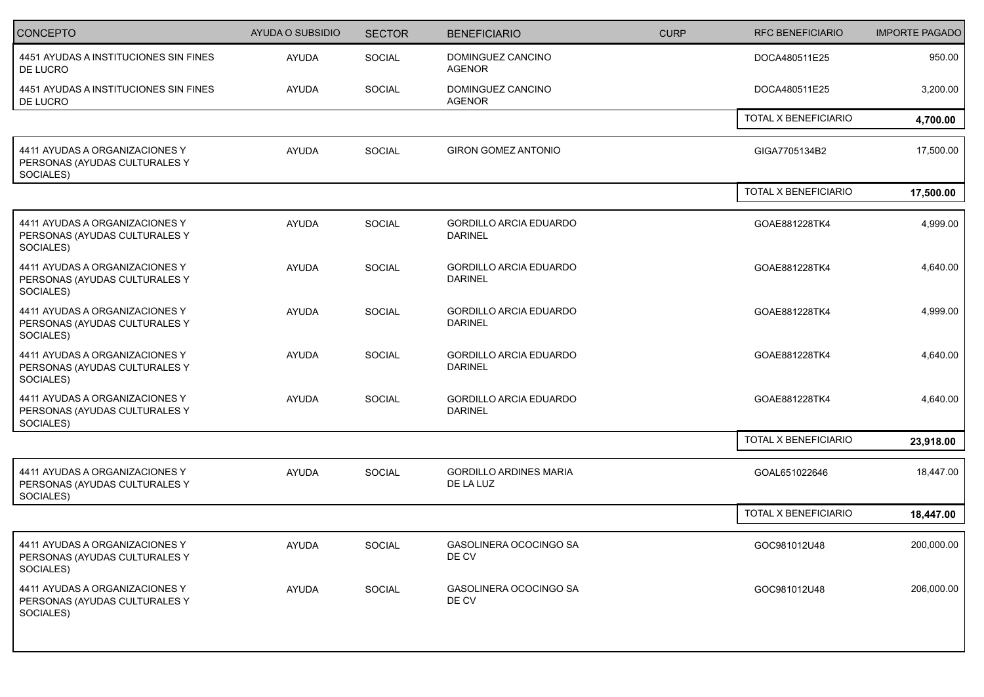| <b>CONCEPTO</b>                                                              | <b>AYUDA O SUBSIDIO</b> | <b>SECTOR</b> | <b>BENEFICIARIO</b>                             | <b>CURP</b> | <b>RFC BENEFICIARIO</b> | <b>IMPORTE PAGADO</b> |
|------------------------------------------------------------------------------|-------------------------|---------------|-------------------------------------------------|-------------|-------------------------|-----------------------|
| 4451 AYUDAS A INSTITUCIONES SIN FINES<br>DE LUCRO                            | <b>AYUDA</b>            | SOCIAL        | DOMINGUEZ CANCINO<br><b>AGENOR</b>              |             | DOCA480511E25           | 950.00                |
| 4451 AYUDAS A INSTITUCIONES SIN FINES<br>DE LUCRO                            | <b>AYUDA</b>            | SOCIAL        | DOMINGUEZ CANCINO<br><b>AGENOR</b>              |             | DOCA480511E25           | 3,200.00              |
|                                                                              |                         |               |                                                 |             | TOTAL X BENEFICIARIO    | 4,700.00              |
| 4411 AYUDAS A ORGANIZACIONES Y<br>PERSONAS (AYUDAS CULTURALES Y<br>SOCIALES) | <b>AYUDA</b>            | SOCIAL        | <b>GIRON GOMEZ ANTONIO</b>                      |             | GIGA7705134B2           | 17,500.00             |
|                                                                              |                         |               |                                                 |             | TOTAL X BENEFICIARIO    | 17,500.00             |
| 4411 AYUDAS A ORGANIZACIONES Y<br>PERSONAS (AYUDAS CULTURALES Y<br>SOCIALES) | <b>AYUDA</b>            | SOCIAL        | <b>GORDILLO ARCIA EDUARDO</b><br><b>DARINEL</b> |             | GOAE881228TK4           | 4,999.00              |
| 4411 AYUDAS A ORGANIZACIONES Y<br>PERSONAS (AYUDAS CULTURALES Y<br>SOCIALES) | AYUDA                   | SOCIAL        | <b>GORDILLO ARCIA EDUARDO</b><br><b>DARINEL</b> |             | GOAE881228TK4           | 4,640.00              |
| 4411 AYUDAS A ORGANIZACIONES Y<br>PERSONAS (AYUDAS CULTURALES Y<br>SOCIALES) | AYUDA                   | SOCIAL        | <b>GORDILLO ARCIA EDUARDO</b><br><b>DARINEL</b> |             | GOAE881228TK4           | 4,999.00              |
| 4411 AYUDAS A ORGANIZACIONES Y<br>PERSONAS (AYUDAS CULTURALES Y<br>SOCIALES) | AYUDA                   | <b>SOCIAL</b> | <b>GORDILLO ARCIA EDUARDO</b><br><b>DARINEL</b> |             | GOAE881228TK4           | 4,640.00              |
| 4411 AYUDAS A ORGANIZACIONES Y<br>PERSONAS (AYUDAS CULTURALES Y<br>SOCIALES) | <b>AYUDA</b>            | SOCIAL        | <b>GORDILLO ARCIA EDUARDO</b><br><b>DARINEL</b> |             | GOAE881228TK4           | 4,640.00              |
|                                                                              |                         |               |                                                 |             | TOTAL X BENEFICIARIO    | 23,918.00             |
| 4411 AYUDAS A ORGANIZACIONES Y<br>PERSONAS (AYUDAS CULTURALES Y<br>SOCIALES) | <b>AYUDA</b>            | SOCIAL        | <b>GORDILLO ARDINES MARIA</b><br>DE LA LUZ      |             | GOAL651022646           | 18,447.00             |
|                                                                              |                         |               |                                                 |             | TOTAL X BENEFICIARIO    | 18,447.00             |
| 4411 AYUDAS A ORGANIZACIONES Y<br>PERSONAS (AYUDAS CULTURALES Y<br>SOCIALES) | AYUDA                   | SOCIAL        | GASOLINERA OCOCINGO SA<br>DE CV                 |             | GOC981012U48            | 200,000.00            |
| 4411 AYUDAS A ORGANIZACIONES Y<br>PERSONAS (AYUDAS CULTURALES Y<br>SOCIALES) | AYUDA                   | SOCIAL        | GASOLINERA OCOCINGO SA<br>DE CV                 |             | GOC981012U48            | 206,000.00            |
|                                                                              |                         |               |                                                 |             |                         |                       |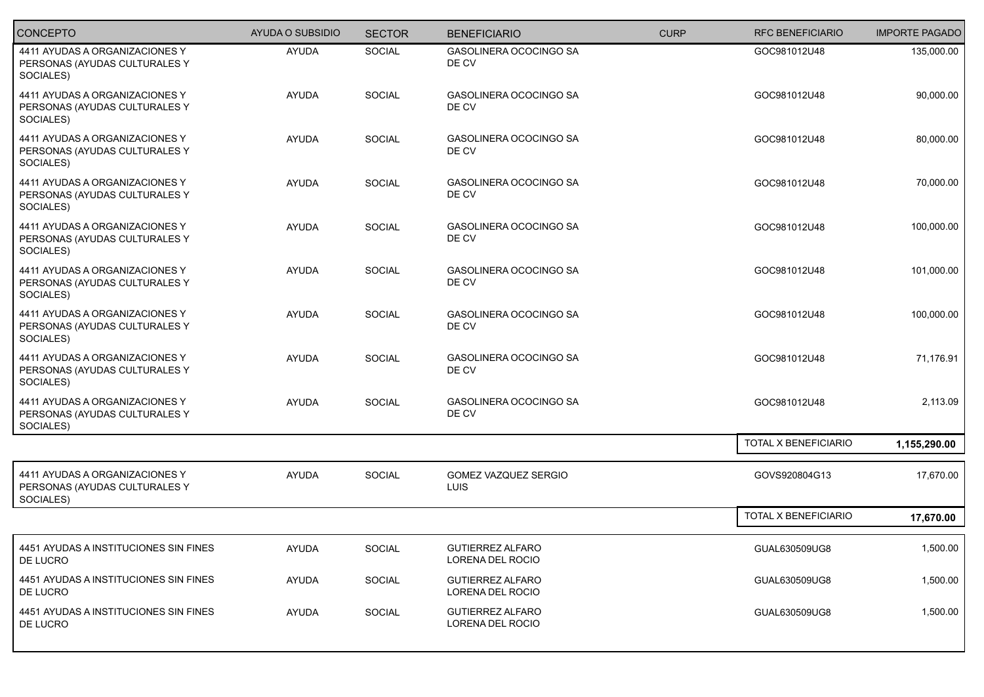| <b>CONCEPTO</b>                                                              | <b>AYUDA O SUBSIDIO</b> | <b>SECTOR</b> | <b>BENEFICIARIO</b>                         | <b>CURP</b> | <b>RFC BENEFICIARIO</b> | <b>IMPORTE PAGADO</b> |
|------------------------------------------------------------------------------|-------------------------|---------------|---------------------------------------------|-------------|-------------------------|-----------------------|
| 4411 AYUDAS A ORGANIZACIONES Y<br>PERSONAS (AYUDAS CULTURALES Y<br>SOCIALES) | <b>AYUDA</b>            | SOCIAL        | GASOLINERA OCOCINGO SA<br>DE CV             |             | GOC981012U48            | 135,000.00            |
| 4411 AYUDAS A ORGANIZACIONES Y<br>PERSONAS (AYUDAS CULTURALES Y<br>SOCIALES) | <b>AYUDA</b>            | SOCIAL        | GASOLINERA OCOCINGO SA<br>DE CV             |             | GOC981012U48            | 90,000.00             |
| 4411 AYUDAS A ORGANIZACIONES Y<br>PERSONAS (AYUDAS CULTURALES Y<br>SOCIALES) | <b>AYUDA</b>            | SOCIAL        | GASOLINERA OCOCINGO SA<br>DE CV             |             | GOC981012U48            | 80,000.00             |
| 4411 AYUDAS A ORGANIZACIONES Y<br>PERSONAS (AYUDAS CULTURALES Y<br>SOCIALES) | <b>AYUDA</b>            | SOCIAL        | GASOLINERA OCOCINGO SA<br>DE CV             |             | GOC981012U48            | 70,000.00             |
| 4411 AYUDAS A ORGANIZACIONES Y<br>PERSONAS (AYUDAS CULTURALES Y<br>SOCIALES) | <b>AYUDA</b>            | SOCIAL        | GASOLINERA OCOCINGO SA<br>DE CV             |             | GOC981012U48            | 100,000.00            |
| 4411 AYUDAS A ORGANIZACIONES Y<br>PERSONAS (AYUDAS CULTURALES Y<br>SOCIALES) | <b>AYUDA</b>            | SOCIAL        | GASOLINERA OCOCINGO SA<br>DE CV             |             | GOC981012U48            | 101,000.00            |
| 4411 AYUDAS A ORGANIZACIONES Y<br>PERSONAS (AYUDAS CULTURALES Y<br>SOCIALES) | <b>AYUDA</b>            | SOCIAL        | GASOLINERA OCOCINGO SA<br>DE CV             |             | GOC981012U48            | 100,000.00            |
| 4411 AYUDAS A ORGANIZACIONES Y<br>PERSONAS (AYUDAS CULTURALES Y<br>SOCIALES) | <b>AYUDA</b>            | SOCIAL        | GASOLINERA OCOCINGO SA<br>DE CV             |             | GOC981012U48            | 71,176.91             |
| 4411 AYUDAS A ORGANIZACIONES Y<br>PERSONAS (AYUDAS CULTURALES Y<br>SOCIALES) | <b>AYUDA</b>            | SOCIAL        | GASOLINERA OCOCINGO SA<br>DE CV             |             | GOC981012U48            | 2,113.09              |
|                                                                              |                         |               |                                             |             | TOTAL X BENEFICIARIO    | 1,155,290.00          |
| 4411 AYUDAS A ORGANIZACIONES Y<br>PERSONAS (AYUDAS CULTURALES Y<br>SOCIALES) | <b>AYUDA</b>            | SOCIAL        | GOMEZ VAZQUEZ SERGIO<br>LUIS                |             | GOVS920804G13           | 17,670.00             |
|                                                                              |                         |               |                                             |             | TOTAL X BENEFICIARIO    | 17,670.00             |
| 4451 AYUDAS A INSTITUCIONES SIN FINES<br>DE LUCRO                            | AYUDA                   | SOCIAL        | <b>GUTIERREZ ALFARO</b><br>LORENA DEL ROCIO |             | GUAL630509UG8           | 1,500.00              |
| 4451 AYUDAS A INSTITUCIONES SIN FINES<br>DE LUCRO                            | AYUDA                   | SOCIAL        | <b>GUTIERREZ ALFARO</b><br>LORENA DEL ROCIO |             | GUAL630509UG8           | 1,500.00              |
| 4451 AYUDAS A INSTITUCIONES SIN FINES<br>DE LUCRO                            | AYUDA                   | SOCIAL        | <b>GUTIERREZ ALFARO</b><br>LORENA DEL ROCIO |             | GUAL630509UG8           | 1,500.00              |
|                                                                              |                         |               |                                             |             |                         |                       |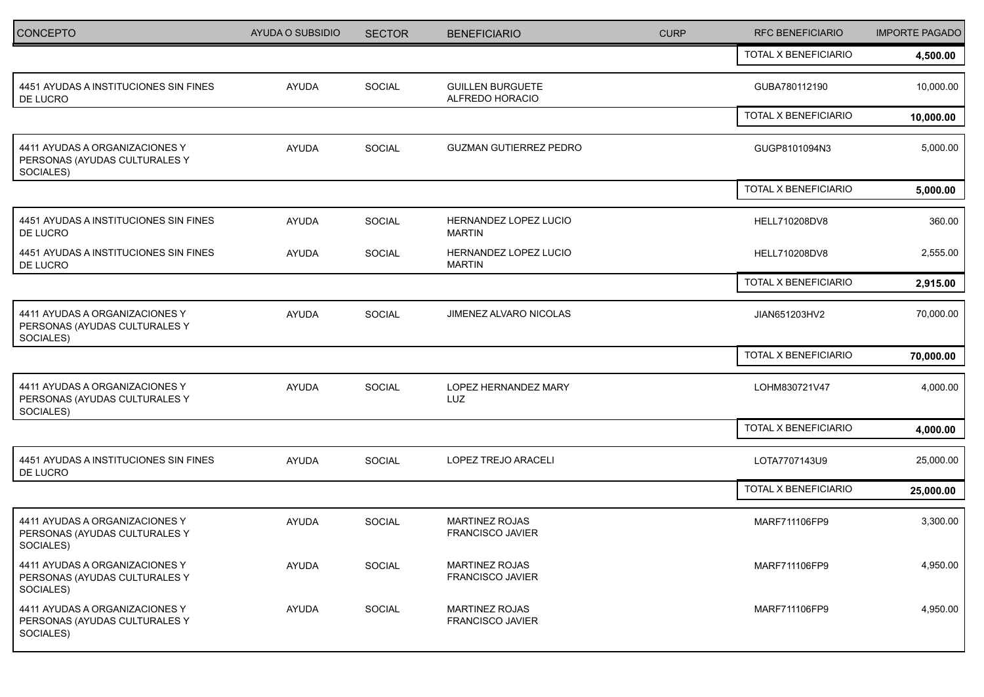| <b>CONCEPTO</b>                                                              | AYUDA O SUBSIDIO | <b>SECTOR</b> | <b>BENEFICIARIO</b>                              | <b>CURP</b> | <b>RFC BENEFICIARIO</b> | <b>IMPORTE PAGADO</b> |
|------------------------------------------------------------------------------|------------------|---------------|--------------------------------------------------|-------------|-------------------------|-----------------------|
|                                                                              |                  |               |                                                  |             | TOTAL X BENEFICIARIO    | 4,500.00              |
| 4451 AYUDAS A INSTITUCIONES SIN FINES<br>DE LUCRO                            | AYUDA            | SOCIAL        | <b>GUILLEN BURGUETE</b><br>ALFREDO HORACIO       |             | GUBA780112190           | 10,000.00             |
|                                                                              |                  |               |                                                  |             | TOTAL X BENEFICIARIO    | 10,000.00             |
| 4411 AYUDAS A ORGANIZACIONES Y<br>PERSONAS (AYUDAS CULTURALES Y<br>SOCIALES) | AYUDA            | SOCIAL        | <b>GUZMAN GUTIERREZ PEDRO</b>                    |             | GUGP8101094N3           | 5,000.00              |
|                                                                              |                  |               |                                                  |             | TOTAL X BENEFICIARIO    | 5,000.00              |
| 4451 AYUDAS A INSTITUCIONES SIN FINES<br>DE LUCRO                            | <b>AYUDA</b>     | SOCIAL        | HERNANDEZ LOPEZ LUCIO<br><b>MARTIN</b>           |             | HELL710208DV8           | 360.00                |
| 4451 AYUDAS A INSTITUCIONES SIN FINES<br>DE LUCRO                            | <b>AYUDA</b>     | SOCIAL        | HERNANDEZ LOPEZ LUCIO<br><b>MARTIN</b>           |             | HELL710208DV8           | 2,555.00              |
|                                                                              |                  |               |                                                  |             | TOTAL X BENEFICIARIO    | 2,915.00              |
| 4411 AYUDAS A ORGANIZACIONES Y<br>PERSONAS (AYUDAS CULTURALES Y<br>SOCIALES) | AYUDA            | SOCIAL        | JIMENEZ ALVARO NICOLAS                           |             | JIAN651203HV2           | 70,000.00             |
|                                                                              |                  |               |                                                  |             | TOTAL X BENEFICIARIO    | 70,000.00             |
| 4411 AYUDAS A ORGANIZACIONES Y<br>PERSONAS (AYUDAS CULTURALES Y<br>SOCIALES) | <b>AYUDA</b>     | SOCIAL        | LOPEZ HERNANDEZ MARY<br>LUZ                      |             | LOHM830721V47           | 4,000.00              |
|                                                                              |                  |               |                                                  |             | TOTAL X BENEFICIARIO    | 4,000.00              |
| 4451 AYUDAS A INSTITUCIONES SIN FINES<br>DE LUCRO                            | AYUDA            | SOCIAL        | LOPEZ TREJO ARACELI                              |             | LOTA7707143U9           | 25,000.00             |
|                                                                              |                  |               |                                                  |             | TOTAL X BENEFICIARIO    | 25,000.00             |
| 4411 AYUDAS A ORGANIZACIONES Y<br>PERSONAS (AYUDAS CULTURALES Y<br>SOCIALES) | <b>AYUDA</b>     | SOCIAL        | <b>MARTINEZ ROJAS</b><br>FRANCISCO JAVIER        |             | MARF711106FP9           | 3,300.00              |
| 4411 AYUDAS A ORGANIZACIONES Y<br>PERSONAS (AYUDAS CULTURALES Y<br>SOCIALES) | AYUDA            | SOCIAL        | <b>MARTINEZ ROJAS</b><br>FRANCISCO JAVIER        |             | MARF711106FP9           | 4,950.00              |
| 4411 AYUDAS A ORGANIZACIONES Y<br>PERSONAS (AYUDAS CULTURALES Y<br>SOCIALES) | AYUDA            | SOCIAL        | <b>MARTINEZ ROJAS</b><br><b>FRANCISCO JAVIER</b> |             | MARF711106FP9           | 4,950.00              |
|                                                                              |                  |               |                                                  |             |                         |                       |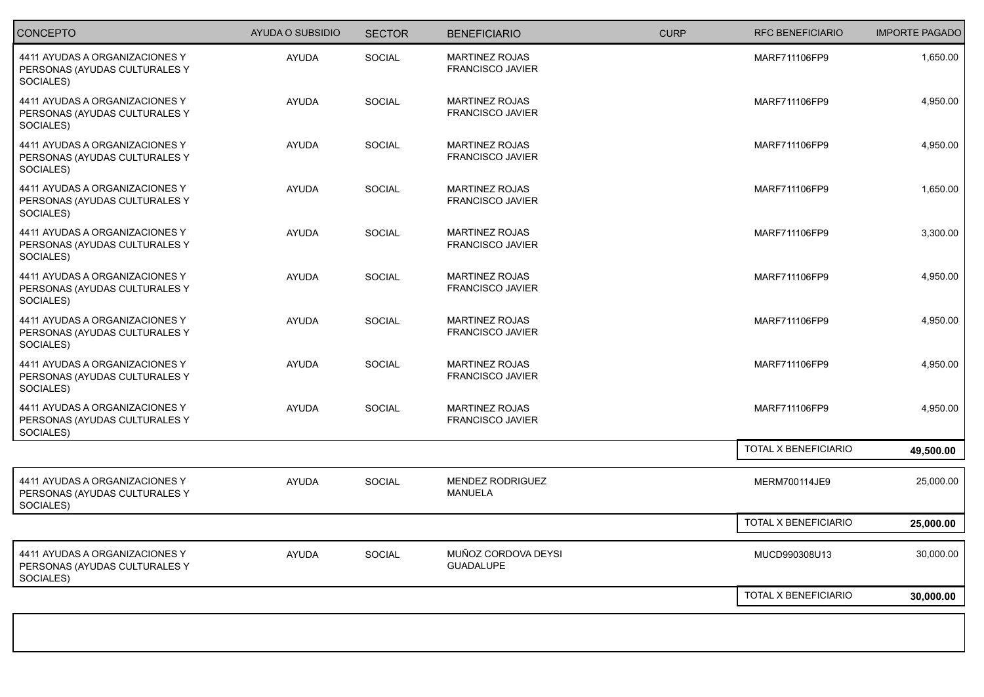| <b>CONCEPTO</b>                                                              | <b>AYUDA O SUBSIDIO</b> | <b>SECTOR</b> | <b>BENEFICIARIO</b>                              | <b>CURP</b> | <b>RFC BENEFICIARIO</b> | <b>IMPORTE PAGADO</b> |
|------------------------------------------------------------------------------|-------------------------|---------------|--------------------------------------------------|-------------|-------------------------|-----------------------|
| 4411 AYUDAS A ORGANIZACIONES Y<br>PERSONAS (AYUDAS CULTURALES Y<br>SOCIALES) | AYUDA                   | SOCIAL        | <b>MARTINEZ ROJAS</b><br><b>FRANCISCO JAVIER</b> |             | MARF711106FP9           | 1,650.00              |
| 4411 AYUDAS A ORGANIZACIONES Y<br>PERSONAS (AYUDAS CULTURALES Y<br>SOCIALES) | AYUDA                   | SOCIAL        | <b>MARTINEZ ROJAS</b><br>FRANCISCO JAVIER        |             | MARF711106FP9           | 4,950.00              |
| 4411 AYUDAS A ORGANIZACIONES Y<br>PERSONAS (AYUDAS CULTURALES Y<br>SOCIALES) | <b>AYUDA</b>            | SOCIAL        | <b>MARTINEZ ROJAS</b><br>FRANCISCO JAVIER        |             | MARF711106FP9           | 4,950.00              |
| 4411 AYUDAS A ORGANIZACIONES Y<br>PERSONAS (AYUDAS CULTURALES Y<br>SOCIALES) | AYUDA                   | <b>SOCIAL</b> | <b>MARTINEZ ROJAS</b><br><b>FRANCISCO JAVIER</b> |             | MARF711106FP9           | 1,650.00              |
| 4411 AYUDAS A ORGANIZACIONES Y<br>PERSONAS (AYUDAS CULTURALES Y<br>SOCIALES) | <b>AYUDA</b>            | SOCIAL        | <b>MARTINEZ ROJAS</b><br><b>FRANCISCO JAVIER</b> |             | MARF711106FP9           | 3,300.00              |
| 4411 AYUDAS A ORGANIZACIONES Y<br>PERSONAS (AYUDAS CULTURALES Y<br>SOCIALES) | <b>AYUDA</b>            | <b>SOCIAL</b> | <b>MARTINEZ ROJAS</b><br>FRANCISCO JAVIER        |             | MARF711106FP9           | 4,950.00              |
| 4411 AYUDAS A ORGANIZACIONES Y<br>PERSONAS (AYUDAS CULTURALES Y<br>SOCIALES) | <b>AYUDA</b>            | SOCIAL        | MARTINEZ ROJAS<br><b>FRANCISCO JAVIER</b>        |             | MARF711106FP9           | 4,950.00              |
| 4411 AYUDAS A ORGANIZACIONES Y<br>PERSONAS (AYUDAS CULTURALES Y<br>SOCIALES) | <b>AYUDA</b>            | SOCIAL        | <b>MARTINEZ ROJAS</b><br><b>FRANCISCO JAVIER</b> |             | MARF711106FP9           | 4,950.00              |
| 4411 AYUDAS A ORGANIZACIONES Y<br>PERSONAS (AYUDAS CULTURALES Y<br>SOCIALES) | <b>AYUDA</b>            | <b>SOCIAL</b> | <b>MARTINEZ ROJAS</b><br>FRANCISCO JAVIER        |             | MARF711106FP9           | 4,950.00              |
|                                                                              |                         |               |                                                  |             | TOTAL X BENEFICIARIO    | 49,500.00             |
| 4411 AYUDAS A ORGANIZACIONES Y<br>PERSONAS (AYUDAS CULTURALES Y<br>SOCIALES) | <b>AYUDA</b>            | SOCIAL        | <b>MENDEZ RODRIGUEZ</b><br><b>MANUELA</b>        |             | MERM700114JE9           | 25,000.00             |
|                                                                              |                         |               |                                                  |             | TOTAL X BENEFICIARIO    | 25,000.00             |
| 4411 AYUDAS A ORGANIZACIONES Y<br>PERSONAS (AYUDAS CULTURALES Y<br>SOCIALES) | <b>AYUDA</b>            | <b>SOCIAL</b> | MUÑOZ CORDOVA DEYSI<br><b>GUADALUPE</b>          |             | MUCD990308U13           | 30,000.00             |
|                                                                              |                         |               |                                                  |             | TOTAL X BENEFICIARIO    | 30,000.00             |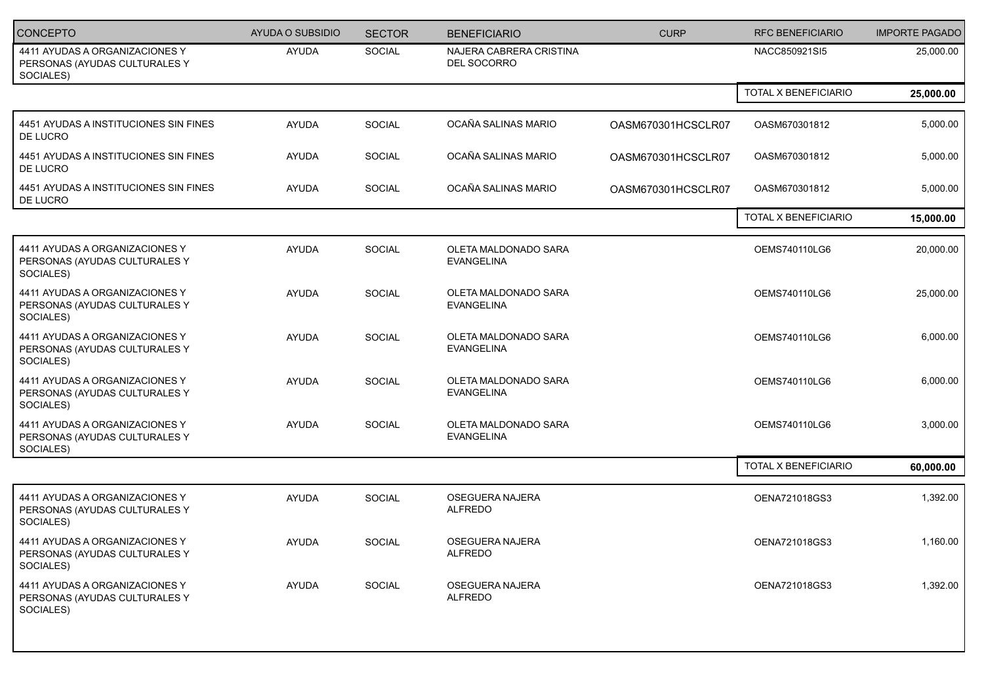| <b>CONCEPTO</b>                                                              | <b>AYUDA O SUBSIDIO</b> | <b>SECTOR</b> | <b>BENEFICIARIO</b>                       | <b>CURP</b>        | <b>RFC BENEFICIARIO</b>     | <b>IMPORTE PAGADO</b> |
|------------------------------------------------------------------------------|-------------------------|---------------|-------------------------------------------|--------------------|-----------------------------|-----------------------|
| 4411 AYUDAS A ORGANIZACIONES Y<br>PERSONAS (AYUDAS CULTURALES Y<br>SOCIALES) | <b>AYUDA</b>            | SOCIAL        | NAJERA CABRERA CRISTINA<br>DEL SOCORRO    |                    | NACC850921SI5               | 25,000.00             |
|                                                                              |                         |               |                                           |                    | <b>TOTAL X BENEFICIARIO</b> | 25,000.00             |
| 4451 AYUDAS A INSTITUCIONES SIN FINES<br>DE LUCRO                            | <b>AYUDA</b>            | <b>SOCIAL</b> | OCAÑA SALINAS MARIO                       | OASM670301HCSCLR07 | OASM670301812               | 5,000.00              |
| 4451 AYUDAS A INSTITUCIONES SIN FINES<br>DE LUCRO                            | <b>AYUDA</b>            | SOCIAL        | OCAÑA SALINAS MARIO                       | OASM670301HCSCLR07 | OASM670301812               | 5,000.00              |
| 4451 AYUDAS A INSTITUCIONES SIN FINES<br>DE LUCRO                            | <b>AYUDA</b>            | SOCIAL        | OCAÑA SALINAS MARIO                       | OASM670301HCSCLR07 | OASM670301812               | 5,000.00              |
|                                                                              |                         |               |                                           |                    | TOTAL X BENEFICIARIO        | 15,000.00             |
| 4411 AYUDAS A ORGANIZACIONES Y<br>PERSONAS (AYUDAS CULTURALES Y<br>SOCIALES) | AYUDA                   | SOCIAL        | OLETA MALDONADO SARA<br><b>EVANGELINA</b> |                    | OEMS740110LG6               | 20,000.00             |
| 4411 AYUDAS A ORGANIZACIONES Y<br>PERSONAS (AYUDAS CULTURALES Y<br>SOCIALES) | <b>AYUDA</b>            | SOCIAL        | OLETA MALDONADO SARA<br><b>EVANGELINA</b> |                    | OEMS740110LG6               | 25,000.00             |
| 4411 AYUDAS A ORGANIZACIONES Y<br>PERSONAS (AYUDAS CULTURALES Y<br>SOCIALES) | AYUDA                   | SOCIAL        | OLETA MALDONADO SARA<br><b>EVANGELINA</b> |                    | OEMS740110LG6               | 6,000.00              |
| 4411 AYUDAS A ORGANIZACIONES Y<br>PERSONAS (AYUDAS CULTURALES Y<br>SOCIALES) | <b>AYUDA</b>            | SOCIAL        | OLETA MALDONADO SARA<br><b>EVANGELINA</b> |                    | OEMS740110LG6               | 6,000.00              |
| 4411 AYUDAS A ORGANIZACIONES Y<br>PERSONAS (AYUDAS CULTURALES Y<br>SOCIALES) | <b>AYUDA</b>            | SOCIAL        | OLETA MALDONADO SARA<br><b>EVANGELINA</b> |                    | OEMS740110LG6               | 3,000.00              |
|                                                                              |                         |               |                                           |                    | TOTAL X BENEFICIARIO        | 60,000.00             |
| 4411 AYUDAS A ORGANIZACIONES Y<br>PERSONAS (AYUDAS CULTURALES Y<br>SOCIALES) | <b>AYUDA</b>            | SOCIAL        | OSEGUERA NAJERA<br><b>ALFREDO</b>         |                    | OENA721018GS3               | 1,392.00              |
| 4411 AYUDAS A ORGANIZACIONES Y<br>PERSONAS (AYUDAS CULTURALES Y<br>SOCIALES) | <b>AYUDA</b>            | <b>SOCIAL</b> | OSEGUERA NAJERA<br><b>ALFREDO</b>         |                    | OENA721018GS3               | 1,160.00              |
| 4411 AYUDAS A ORGANIZACIONES Y<br>PERSONAS (AYUDAS CULTURALES Y<br>SOCIALES) | AYUDA                   | SOCIAL        | OSEGUERA NAJERA<br><b>ALFREDO</b>         |                    | OENA721018GS3               | 1,392.00              |
|                                                                              |                         |               |                                           |                    |                             |                       |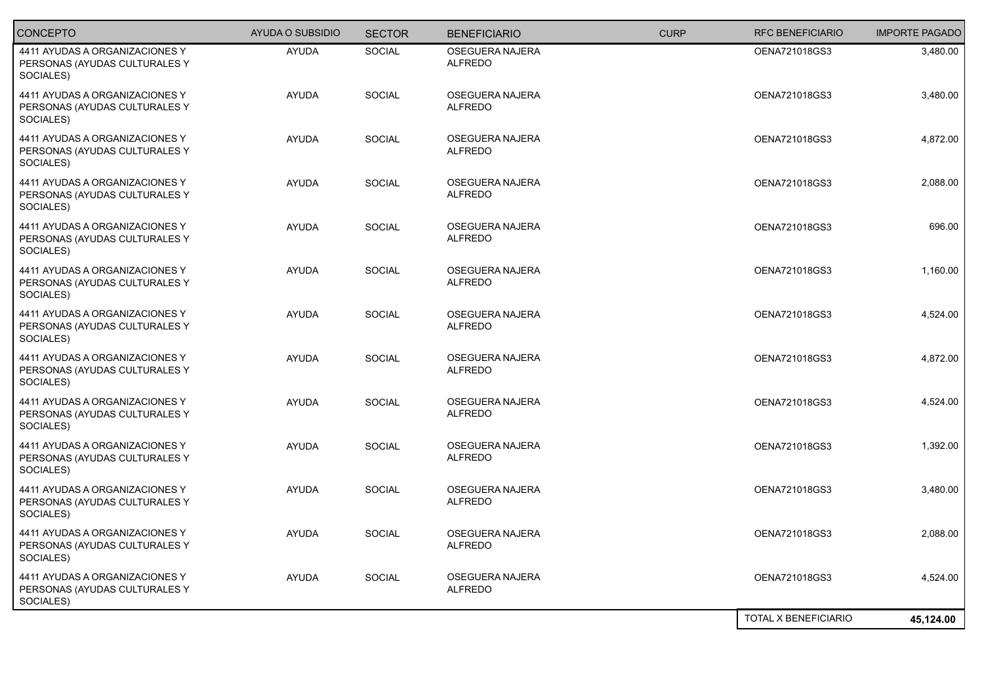| <b>CONCEPTO</b>                                                              | AYUDA O SUBSIDIO | <b>SECTOR</b> | <b>BENEFICIARIO</b>                      | <b>CURP</b> | <b>RFC BENEFICIARIO</b>     | <b>IMPORTE PAGADO</b> |
|------------------------------------------------------------------------------|------------------|---------------|------------------------------------------|-------------|-----------------------------|-----------------------|
| 4411 AYUDAS A ORGANIZACIONES Y<br>PERSONAS (AYUDAS CULTURALES Y<br>SOCIALES) | <b>AYUDA</b>     | <b>SOCIAL</b> | <b>OSEGUERA NAJERA</b><br><b>ALFREDO</b> |             | OENA721018GS3               | 3,480.00              |
| 4411 AYUDAS A ORGANIZACIONES Y<br>PERSONAS (AYUDAS CULTURALES Y<br>SOCIALES) | <b>AYUDA</b>     | SOCIAL        | OSEGUERA NAJERA<br><b>ALFREDO</b>        |             | OENA721018GS3               | 3,480.00              |
| 4411 AYUDAS A ORGANIZACIONES Y<br>PERSONAS (AYUDAS CULTURALES Y<br>SOCIALES) | <b>AYUDA</b>     | SOCIAL        | OSEGUERA NAJERA<br><b>ALFREDO</b>        |             | OENA721018GS3               | 4,872.00              |
| 4411 AYUDAS A ORGANIZACIONES Y<br>PERSONAS (AYUDAS CULTURALES Y<br>SOCIALES) | <b>AYUDA</b>     | <b>SOCIAL</b> | OSEGUERA NAJERA<br><b>ALFREDO</b>        |             | OENA721018GS3               | 2,088.00              |
| 4411 AYUDAS A ORGANIZACIONES Y<br>PERSONAS (AYUDAS CULTURALES Y<br>SOCIALES) | <b>AYUDA</b>     | SOCIAL        | OSEGUERA NAJERA<br><b>ALFREDO</b>        |             | OENA721018GS3               | 696.00                |
| 4411 AYUDAS A ORGANIZACIONES Y<br>PERSONAS (AYUDAS CULTURALES Y<br>SOCIALES) | <b>AYUDA</b>     | <b>SOCIAL</b> | OSEGUERA NAJERA<br><b>ALFREDO</b>        |             | OENA721018GS3               | 1,160.00              |
| 4411 AYUDAS A ORGANIZACIONES Y<br>PERSONAS (AYUDAS CULTURALES Y<br>SOCIALES) | <b>AYUDA</b>     | SOCIAL        | OSEGUERA NAJERA<br><b>ALFREDO</b>        |             | OENA721018GS3               | 4,524.00              |
| 4411 AYUDAS A ORGANIZACIONES Y<br>PERSONAS (AYUDAS CULTURALES Y<br>SOCIALES) | <b>AYUDA</b>     | <b>SOCIAL</b> | OSEGUERA NAJERA<br><b>ALFREDO</b>        |             | OENA721018GS3               | 4,872.00              |
| 4411 AYUDAS A ORGANIZACIONES Y<br>PERSONAS (AYUDAS CULTURALES Y<br>SOCIALES) | <b>AYUDA</b>     | SOCIAL        | OSEGUERA NAJERA<br><b>ALFREDO</b>        |             | OENA721018GS3               | 4,524.00              |
| 4411 AYUDAS A ORGANIZACIONES Y<br>PERSONAS (AYUDAS CULTURALES Y<br>SOCIALES) | <b>AYUDA</b>     | <b>SOCIAL</b> | <b>OSEGUERA NAJERA</b><br><b>ALFREDO</b> |             | OENA721018GS3               | 1,392.00              |
| 4411 AYUDAS A ORGANIZACIONES Y<br>PERSONAS (AYUDAS CULTURALES Y<br>SOCIALES) | <b>AYUDA</b>     | SOCIAL        | OSEGUERA NAJERA<br><b>ALFREDO</b>        |             | OENA721018GS3               | 3,480.00              |
| 4411 AYUDAS A ORGANIZACIONES Y<br>PERSONAS (AYUDAS CULTURALES Y<br>SOCIALES) | <b>AYUDA</b>     | <b>SOCIAL</b> | OSEGUERA NAJERA<br><b>ALFREDO</b>        |             | OENA721018GS3               | 2,088.00              |
| 4411 AYUDAS A ORGANIZACIONES Y<br>PERSONAS (AYUDAS CULTURALES Y<br>SOCIALES) | <b>AYUDA</b>     | <b>SOCIAL</b> | OSEGUERA NAJERA<br><b>ALFREDO</b>        |             | OENA721018GS3               | 4,524.00              |
|                                                                              |                  |               |                                          |             | <b>TOTAL X BENEFICIARIO</b> | 45,124.00             |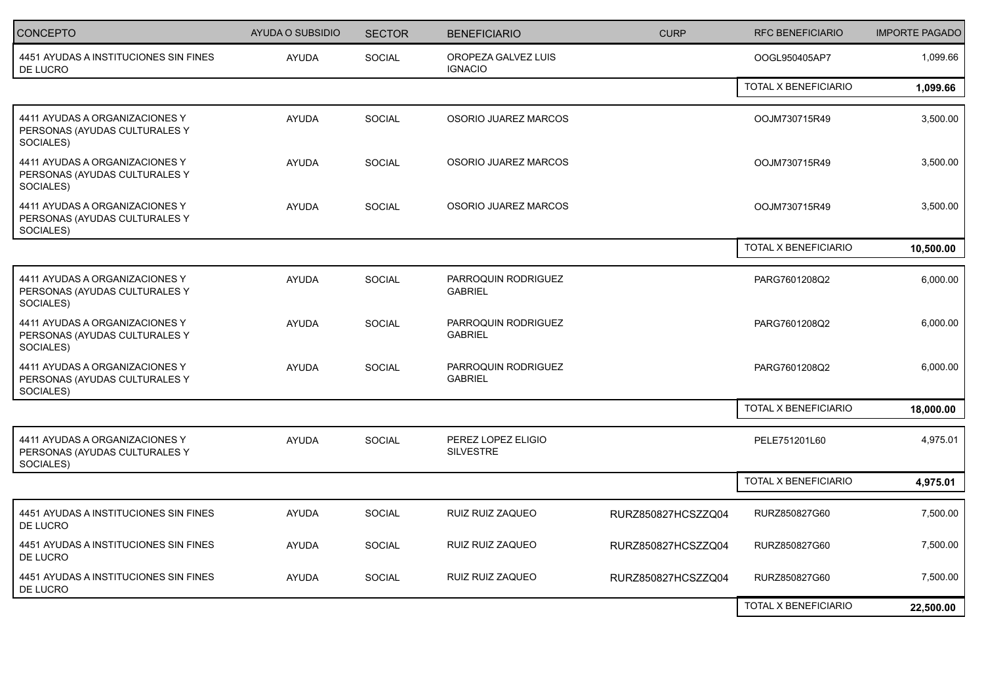| <b>CONCEPTO</b>                                                              | <b>AYUDA O SUBSIDIO</b> | <b>SECTOR</b> | <b>BENEFICIARIO</b>                    | <b>CURP</b>        | <b>RFC BENEFICIARIO</b> | <b>IMPORTE PAGADO</b> |
|------------------------------------------------------------------------------|-------------------------|---------------|----------------------------------------|--------------------|-------------------------|-----------------------|
| 4451 AYUDAS A INSTITUCIONES SIN FINES<br>DE LUCRO                            | <b>AYUDA</b>            | <b>SOCIAL</b> | OROPEZA GALVEZ LUIS<br><b>IGNACIO</b>  |                    | OOGL950405AP7           | 1,099.66              |
|                                                                              |                         |               |                                        |                    | TOTAL X BENEFICIARIO    | 1,099.66              |
| 4411 AYUDAS A ORGANIZACIONES Y<br>PERSONAS (AYUDAS CULTURALES Y<br>SOCIALES) | <b>AYUDA</b>            | SOCIAL        | OSORIO JUAREZ MARCOS                   |                    | OOJM730715R49           | 3,500.00              |
| 4411 AYUDAS A ORGANIZACIONES Y<br>PERSONAS (AYUDAS CULTURALES Y<br>SOCIALES) | <b>AYUDA</b>            | <b>SOCIAL</b> | OSORIO JUAREZ MARCOS                   |                    | OOJM730715R49           | 3,500.00              |
| 4411 AYUDAS A ORGANIZACIONES Y<br>PERSONAS (AYUDAS CULTURALES Y<br>SOCIALES) | <b>AYUDA</b>            | <b>SOCIAL</b> | OSORIO JUAREZ MARCOS                   |                    | OOJM730715R49           | 3,500.00              |
|                                                                              |                         |               |                                        |                    | TOTAL X BENEFICIARIO    | 10,500.00             |
| 4411 AYUDAS A ORGANIZACIONES Y<br>PERSONAS (AYUDAS CULTURALES Y<br>SOCIALES) | <b>AYUDA</b>            | <b>SOCIAL</b> | PARROQUIN RODRIGUEZ<br><b>GABRIEL</b>  |                    | PARG7601208Q2           | 6,000.00              |
| 4411 AYUDAS A ORGANIZACIONES Y<br>PERSONAS (AYUDAS CULTURALES Y<br>SOCIALES) | <b>AYUDA</b>            | <b>SOCIAL</b> | PARROQUIN RODRIGUEZ<br><b>GABRIEL</b>  |                    | PARG7601208Q2           | 6,000.00              |
| 4411 AYUDAS A ORGANIZACIONES Y<br>PERSONAS (AYUDAS CULTURALES Y<br>SOCIALES) | <b>AYUDA</b>            | <b>SOCIAL</b> | PARROQUIN RODRIGUEZ<br><b>GABRIEL</b>  |                    | PARG7601208Q2           | 6,000.00              |
|                                                                              |                         |               |                                        |                    | TOTAL X BENEFICIARIO    | 18,000.00             |
| 4411 AYUDAS A ORGANIZACIONES Y<br>PERSONAS (AYUDAS CULTURALES Y<br>SOCIALES) | <b>AYUDA</b>            | SOCIAL        | PEREZ LOPEZ ELIGIO<br><b>SILVESTRE</b> |                    | PELE751201L60           | 4,975.01              |
|                                                                              |                         |               |                                        |                    | TOTAL X BENEFICIARIO    | 4,975.01              |
| 4451 AYUDAS A INSTITUCIONES SIN FINES<br>DE LUCRO                            | <b>AYUDA</b>            | <b>SOCIAL</b> | RUIZ RUIZ ZAQUEO                       | RURZ850827HCSZZQ04 | RURZ850827G60           | 7,500.00              |
| 4451 AYUDAS A INSTITUCIONES SIN FINES<br>DE LUCRO                            | <b>AYUDA</b>            | SOCIAL        | RUIZ RUIZ ZAQUEO                       | RURZ850827HCSZZQ04 | RURZ850827G60           | 7,500.00              |
| 4451 AYUDAS A INSTITUCIONES SIN FINES<br>DE LUCRO                            | <b>AYUDA</b>            | SOCIAL        | RUIZ RUIZ ZAQUEO                       | RURZ850827HCSZZQ04 | RURZ850827G60           | 7,500.00              |
|                                                                              |                         |               |                                        |                    | TOTAL X BENEFICIARIO    | 22,500.00             |